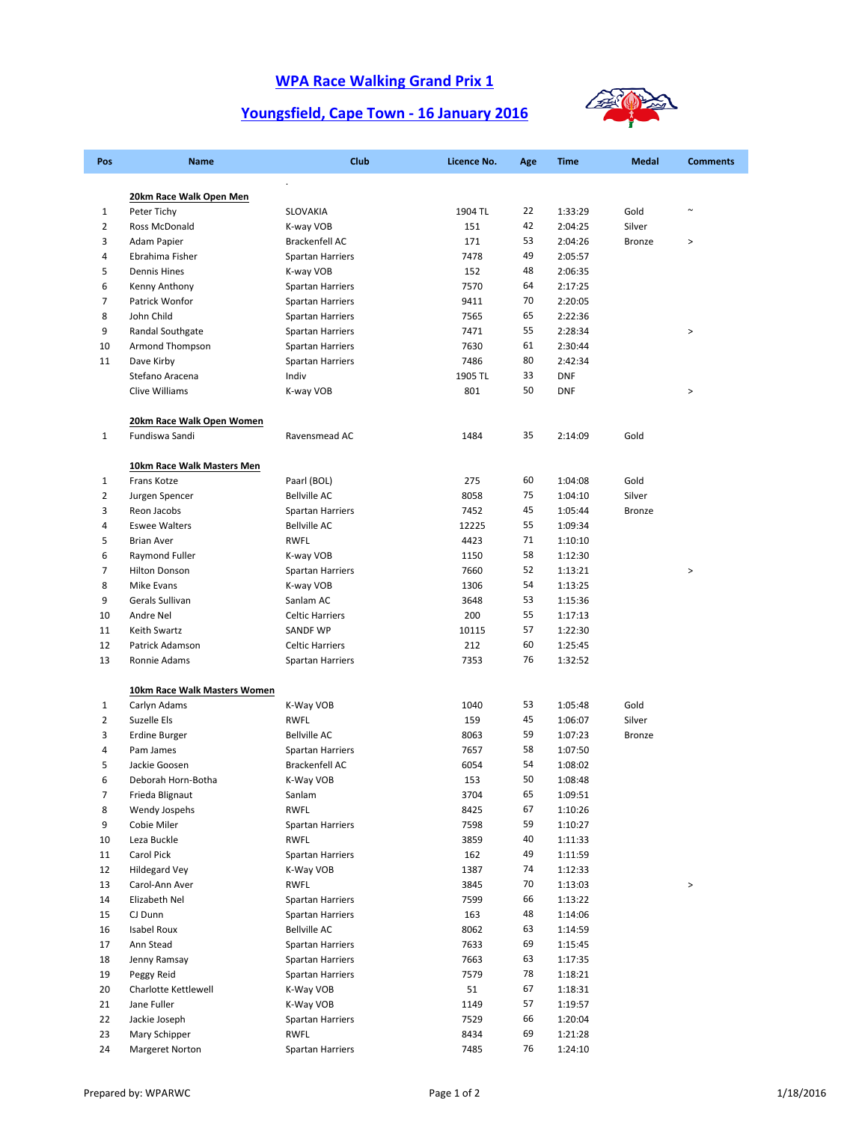## **WPA Race Walking Grand Prix 1**

## **Youngsfield, Cape Town ‐ 16 January 2016**



| Pos                 | <b>Name</b>                     | Club                                      | Licence No.    | Age      | <b>Time</b>        | <b>Medal</b>   | <b>Comments</b> |
|---------------------|---------------------------------|-------------------------------------------|----------------|----------|--------------------|----------------|-----------------|
|                     |                                 | $\blacksquare$                            |                |          |                    |                |                 |
|                     | 20km Race Walk Open Men         |                                           |                |          |                    |                | $\sim$          |
| 1<br>$\overline{2}$ | Peter Tichy<br>Ross McDonald    | SLOVAKIA                                  | 1904 TL<br>151 | 22<br>42 | 1:33:29<br>2:04:25 | Gold<br>Silver |                 |
| 3                   | Adam Papier                     | K-way VOB<br>Brackenfell AC               | 171            | 53       | 2:04:26            | <b>Bronze</b>  | $\, >$          |
| 4                   | Ebrahima Fisher                 | Spartan Harriers                          | 7478           | 49       | 2:05:57            |                |                 |
| 5                   | <b>Dennis Hines</b>             | K-way VOB                                 | 152            | 48       | 2:06:35            |                |                 |
| 6                   | Kenny Anthony                   | <b>Spartan Harriers</b>                   | 7570           | 64       | 2:17:25            |                |                 |
| 7                   | Patrick Wonfor                  | Spartan Harriers                          | 9411           | 70       | 2:20:05            |                |                 |
| 8                   | John Child                      | Spartan Harriers                          | 7565           | 65       | 2:22:36            |                |                 |
| 9                   | Randal Southgate                | <b>Spartan Harriers</b>                   | 7471           | 55       | 2:28:34            |                | $\, >$          |
| 10                  | Armond Thompson                 | <b>Spartan Harriers</b>                   | 7630           | 61       | 2:30:44            |                |                 |
| 11                  | Dave Kirby                      | <b>Spartan Harriers</b>                   | 7486           | 80       | 2:42:34            |                |                 |
|                     | Stefano Aracena                 | Indiv                                     | 1905 TL        | 33       | <b>DNF</b>         |                |                 |
|                     | Clive Williams                  | K-way VOB                                 | 801            | 50       | <b>DNF</b>         |                | $\, >$          |
|                     | 20km Race Walk Open Women       |                                           |                |          |                    |                |                 |
| $\mathbf{1}$        | Fundiswa Sandi                  | Ravensmead AC                             | 1484           | 35       | 2:14:09            | Gold           |                 |
|                     |                                 |                                           |                |          |                    |                |                 |
|                     | 10km Race Walk Masters Men      |                                           |                |          |                    |                |                 |
| 1                   | Frans Kotze                     | Paarl (BOL)                               | 275            | 60       | 1:04:08            | Gold           |                 |
| 2                   | Jurgen Spencer                  | <b>Bellville AC</b>                       | 8058           | 75       | 1:04:10            | Silver         |                 |
| 3                   | Reon Jacobs                     | Spartan Harriers                          | 7452           | 45       | 1:05:44            | Bronze         |                 |
| 4                   | <b>Eswee Walters</b>            | <b>Bellville AC</b>                       | 12225          | 55       | 1:09:34            |                |                 |
| 5                   | <b>Brian Aver</b>               | <b>RWFL</b>                               | 4423           | 71       | 1:10:10            |                |                 |
| 6                   | Raymond Fuller                  | K-way VOB                                 | 1150           | 58       | 1:12:30            |                |                 |
| 7                   | <b>Hilton Donson</b>            | <b>Spartan Harriers</b>                   | 7660           | 52       | 1:13:21            |                | $\, >$          |
| 8                   | Mike Evans                      | K-way VOB                                 | 1306           | 54       | 1:13:25            |                |                 |
| 9                   | Gerals Sullivan                 | Sanlam AC                                 | 3648           | 53<br>55 | 1:15:36            |                |                 |
| 10<br>11            | Andre Nel                       | <b>Celtic Harriers</b><br><b>SANDF WP</b> | 200<br>10115   | 57       | 1:17:13<br>1:22:30 |                |                 |
| 12                  | Keith Swartz<br>Patrick Adamson | <b>Celtic Harriers</b>                    | 212            | 60       | 1:25:45            |                |                 |
| 13                  | Ronnie Adams                    | Spartan Harriers                          | 7353           | 76       | 1:32:52            |                |                 |
|                     |                                 |                                           |                |          |                    |                |                 |
|                     | 10km Race Walk Masters Women    |                                           |                |          |                    |                |                 |
| $\mathbf{1}$        | Carlyn Adams                    | K-Way VOB                                 | 1040           | 53       | 1:05:48            | Gold           |                 |
| $\overline{2}$      | Suzelle Els                     | <b>RWFL</b>                               | 159            | 45       | 1:06:07            | Silver         |                 |
| 3                   | <b>Erdine Burger</b>            | <b>Bellville AC</b>                       | 8063           | 59       | 1:07:23            | Bronze         |                 |
| 4                   | Pam James                       | Spartan Harriers                          | 7657           | 58       | 1:07:50            |                |                 |
| 5                   | Jackie Goosen                   | Brackenfell AC                            | 6054           | 54       | 1:08:02            |                |                 |
| 6                   | Deborah Horn-Botha              | K-Way VOB                                 | 153            | 50<br>65 | 1:08:48            |                |                 |
| 7<br>8              | Frieda Blignaut                 | Sanlam<br>RWFL                            | 3704<br>8425   | 67       | 1:09:51<br>1:10:26 |                |                 |
| 9                   | Wendy Jospehs<br>Cobie Miler    | <b>Spartan Harriers</b>                   | 7598           | 59       | 1:10:27            |                |                 |
| 10                  | Leza Buckle                     | <b>RWFL</b>                               | 3859           | 40       | 1:11:33            |                |                 |
| 11                  | Carol Pick                      | Spartan Harriers                          | 162            | 49       | 1:11:59            |                |                 |
| 12                  | <b>Hildegard Vey</b>            | K-Way VOB                                 | 1387           | 74       | 1:12:33            |                |                 |
| 13                  | Carol-Ann Aver                  | RWFL                                      | 3845           | 70       | 1:13:03            |                | >               |
| 14                  | Elizabeth Nel                   | Spartan Harriers                          | 7599           | 66       | 1:13:22            |                |                 |
| 15                  | CJ Dunn                         | Spartan Harriers                          | 163            | 48       | 1:14:06            |                |                 |
| 16                  | Isabel Roux                     | <b>Bellville AC</b>                       | 8062           | 63       | 1:14:59            |                |                 |
| 17                  | Ann Stead                       | <b>Spartan Harriers</b>                   | 7633           | 69       | 1:15:45            |                |                 |
| 18                  | Jenny Ramsay                    | <b>Spartan Harriers</b>                   | 7663           | 63       | 1:17:35            |                |                 |
| 19                  | Peggy Reid                      | Spartan Harriers                          | 7579           | 78       | 1:18:21            |                |                 |
| 20                  | Charlotte Kettlewell            | K-Way VOB                                 | 51             | 67       | 1:18:31            |                |                 |
| 21                  | Jane Fuller                     | K-Way VOB                                 | 1149           | 57       | 1:19:57            |                |                 |
| 22                  | Jackie Joseph                   | <b>Spartan Harriers</b>                   | 7529           | 66       | 1:20:04            |                |                 |
| 23                  | Mary Schipper                   | <b>RWFL</b>                               | 8434           | 69       | 1:21:28            |                |                 |
| 24                  | Margeret Norton                 | <b>Spartan Harriers</b>                   | 7485           | 76       | 1:24:10            |                |                 |